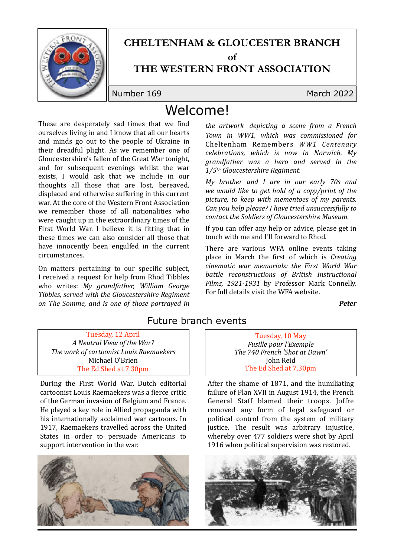

## **CHELTENHAM & GLOUCESTER BRANCH**

**of** 

### **THE WESTERN FRONT ASSOCIATION**

Number 169 March 2022

# Welcome!

These are desperately sad times that we find ourselves living in and I know that all our hearts and minds go out to the people of Ukraine in their dreadful plight. As we remember one of Gloucestershire's fallen of the Great War tonight, and for subsequent evenings whilst the war exists, I would ask that we include in our thoughts all those that are lost, bereaved, displaced and otherwise suffering in this current war. At the core of the Western Front Association we remember those of all nationalities who were caught up in the extraordinary times of the First World War. I believe it is fitting that in these times we can also consider all those that have innocently been engulfed in the current circumstances.

On matters pertaining to our specific subject, I received a request for help from Rhod Tibbles who writes: My grandfather, William George Tibbles, served with the Gloucestershire Regiment *on The Somme, and is one of those portrayed in* 

*the artwork depicting a scene from a French Town in WW1, which was commissioned for*  Cheltenham Remembers *WW1 Centenary celebrations, which is now in Norwich. My grandfather* was a hero and served in the *1/5th Gloucestershire Regiment.*

*My brother and I are in our early 70s and we would like to get hold of a copy/print of the* picture, to keep with mementoes of my parents. *Can you help please? I have tried unsuccessfully to contact the Soldiers of Gloucestershire Museum*.

If you can offer any help or advice, please get in touch with me and I'll forward to Rhod.

There are various WFA online events taking place in March the first of which is *Creating cinematic war memorials: the First World War battle* reconstructions of British Instructional *Films, 1921-1931* by Professor Mark Connelly. For full details visit the WFA website.

*Peter*

#### Future branch events

Tuesday, 12 April *A Neutral View of the War?* **The work of cartoonist Louis Raemaekers** Michael O'Brien The Ed Shed at 7.30pm

During the First World War, Dutch editorial cartoonist Louis Raemaekers was a fierce critic of the German invasion of Belgium and France. He played a key role in Allied propaganda with his internationally acclaimed war cartoons. In 1917, Raemaekers travelled across the United States in order to persuade Americans to support intervention in the war.



Tuesday, 10 May *Fusille pour l'Exemple The 740 French 'Shot at Dawn'* John Reid The Ed Shed at 7.30pm

After the shame of  $1871$ , and the humiliating failure of Plan XVII in August 1914, the French General Staff blamed their troops. Joffre removed any form of legal safeguard or political control from the system of military justice. The result was arbitrary injustice, whereby over 477 soldiers were shot by April 1916 when political supervision was restored.